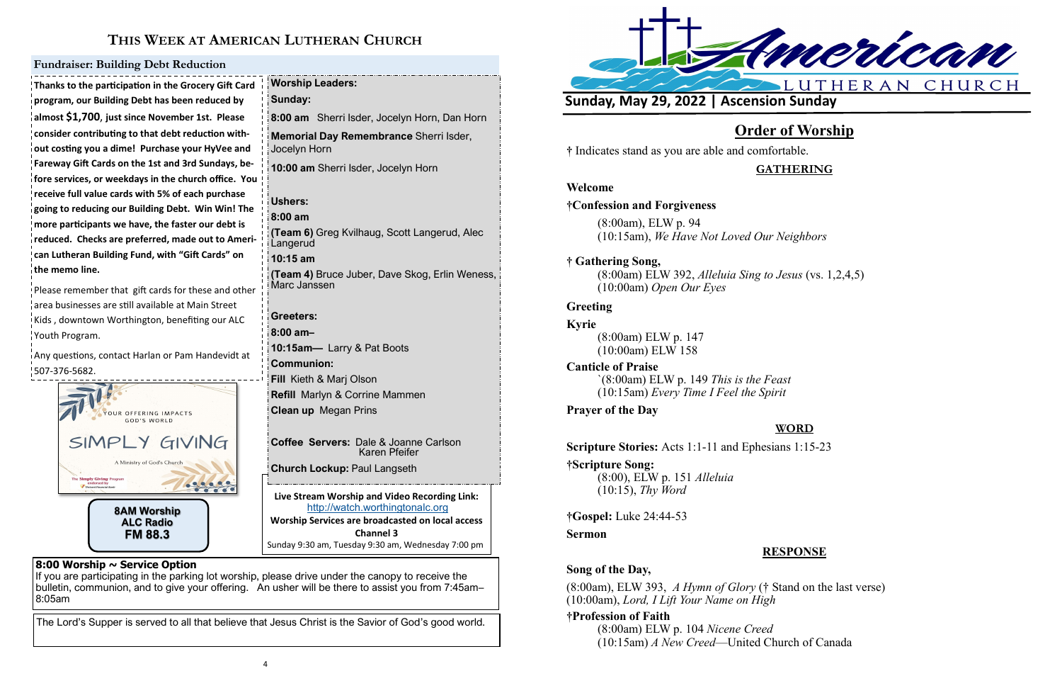

**FM 88.3**

# **THIS WEEK AT AMERICAN LUTHERAN CHURCH**

**Live Stream Worship and Video Recording Link:**  <http://watch.worthingtonalc.org> **Worship Services are broadcasted on local access Channel 3** Sunday 9:30 am, Tuesday 9:30 am, Wednesday 7:00 pm

#### **8:00 Worship ~ Service Option**

If you are participating in the parking lot worship, please drive under the canopy to receive the bulletin, communion, and to give your offering. An usher will be there to assist you from 7:45am– 8:05am

The Lord's Supper is served to all that believe that Jesus Christ is the Savior of God's good world.

**Thanks to the participation in the Grocery Gift Card program, our Building Debt has been reduced by almost \$1,700**, **just since November 1st. Please consider contributing to that debt reduction without costing you a dime! Purchase your HyVee and Fareway Gift Cards on the 1st and 3rd Sundays, before services, or weekdays in the church office. You receive full value cards with 5% of each purchase going to reducing our Building Debt. Win Win! The more participants we have, the faster our debt is reduced. Checks are preferred, made out to American Lutheran Building Fund, with "Gift Cards" on the memo line.**

Please remember that gift cards for these and other area businesses are still available at Main Street .<br>Kids, downtown Worthington, benefiting our ALC Youth Program.

Any questions, contact Harlan or Pam Handevidt at 507-376-5682.

#### **Fundraiser: Building Debt Reduction**

**Worship Leaders: Sunday: 8:00 am** Sherri Isder, Jocelyn Horn, Dan Horn **Memorial Day Remembrance** Sherri Isder, Jocelyn Horn **10:00 am** Sherri Isder, Jocelyn Horn **Ushers: 8:00 am (Team 6)** Greg Kvilhaug, Scott Langerud, Alec **Langerud 10:15 am (Team 4)** Bruce Juber, Dave Skog, Erlin Weness, Marc Janssen **Greeters: 8:00 am– 10:15am—** Larry & Pat Boots **Communion: Fill** Kieth & Marj Olson **Refill** Marlyn & Corrine Mammen **Clean up** Megan Prins **Coffee Servers:** Dale & Joanne Carlson

 Karen Pfeifer **Church Lockup:** Paul Langseth



# **Order of Worship**

**†** Indicates stand as you are able and comfortable.

**GATHERING**

### **Welcome**

### **†Confession and Forgiveness**

(8:00am), ELW p. 94 (10:15am), *We Have Not Loved Our Neighbors*

# **† Gathering Song,**

(8:00am) ELW 392, *Alleluia Sing to Jesus* (vs. 1,2,4,5) (10:00am) *Open Our Eyes*

### **Greeting**

**Kyrie**

(8:00am) ELW p. 147 (10:00am) ELW 158

**Canticle of Praise** `(8:00am) ELW p. 149 *This is the Feast* (10:15am) *Every Time I Feel the Spirit*

### **Prayer of the Day**

# **WORD**

**Scripture Stories:** Acts 1:1-11 and Ephesians 1:15-23

**†Scripture Song:** (8:00), ELW p. 151 *Alleluia* (10:15), *Thy Word*

**†Gospel:** Luke 24:44-53

**Sermon**

# **RESPONSE**

#### **Song of the Day,**

(8:00am), ELW 393, *A Hymn of Glory* († Stand on the last verse) (10:00am), *Lord, I Lift Your Name on High*

#### **†Profession of Faith**

(8:00am) ELW p. 104 *Nicene Creed* (10:15am) *A New Creed*—United Church of Canada